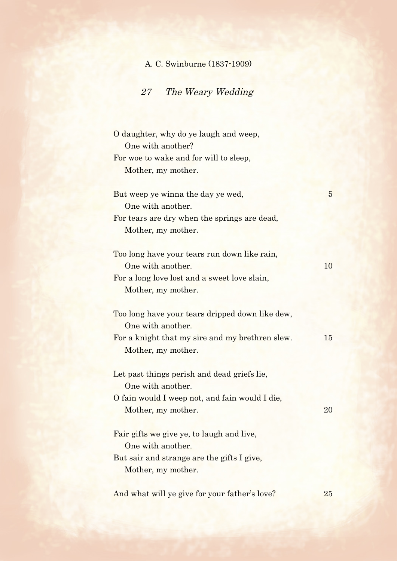## A. C. Swinburne (1837-1909)

## 27 The Weary Wedding

| O daughter, why do ye laugh and weep,<br>One with another? |                |
|------------------------------------------------------------|----------------|
| For woe to wake and for will to sleep,                     |                |
| Mother, my mother.                                         |                |
|                                                            |                |
| But weep ye winna the day ye wed,                          | $\overline{5}$ |
| One with another.                                          |                |
| For tears are dry when the springs are dead,               |                |
| Mother, my mother.                                         |                |
| Too long have your tears run down like rain,               |                |
| One with another.                                          | 10             |
| For a long love lost and a sweet love slain,               |                |
| Mother, my mother.                                         |                |
|                                                            |                |
| Too long have your tears dripped down like dew,            |                |
| One with another.                                          |                |
| For a knight that my sire and my brethren slew.            | 15             |
| Mother, my mother.                                         |                |
|                                                            |                |
| Let past things perish and dead griefs lie,                |                |
| One with another.                                          |                |
| O fain would I weep not, and fain would I die,             |                |
| Mother, my mother.                                         | 20             |
| Fair gifts we give ye, to laugh and live,                  |                |
| One with another.                                          |                |
| But sair and strange are the gifts I give,                 |                |
| Mother, my mother.                                         |                |
|                                                            |                |
| And what will ye give for your father's love?              | 25             |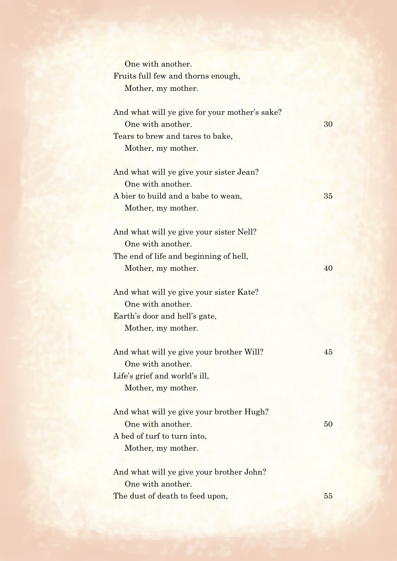| One with another.                             |    |
|-----------------------------------------------|----|
| Fruits full few and thorns enough,            |    |
| Mother, my mother.                            |    |
| And what will ye give for your mother's sake? |    |
| One with another.                             | 30 |
| Tears to brew and tares to bake,              |    |
| Mother, my mother.                            |    |
| And what will ye give your sister Jean?       |    |
| One with another.                             |    |
| A bier to build and a babe to wean,           | 35 |
| Mother, my mother.                            |    |
| And what will ye give your sister Nell?       |    |
| One with another.                             |    |
| The end of life and beginning of hell,        |    |
| Mother, my mother.                            | 40 |
| And what will ye give your sister Kate?       |    |
| One with another.                             |    |
| Earth's door and hell's gate,                 |    |
| Mother, my mother.                            |    |
| And what will ye give your brother Will?      | 45 |
| One with another.                             |    |
| Life's grief and world's ill,                 |    |
| Mother, my mother.                            |    |
| And what will ye give your brother Hugh?      |    |
| One with another.                             | 50 |
| A bed of turf to turn into,                   |    |
| Mother, my mother.                            |    |
| And what will ye give your brother John?      |    |
| One with another.                             |    |
| The dust of death to feed upon,               | 55 |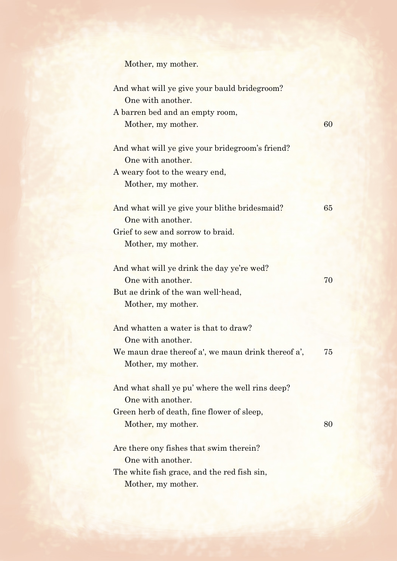Mother, my mother.

| And what will ye give your bauld bridegroom?<br>One with another. |    |
|-------------------------------------------------------------------|----|
| A barren bed and an empty room,                                   |    |
| Mother, my mother.                                                | 60 |
|                                                                   |    |
| And what will ye give your bride groom's friend?                  |    |
| One with another.                                                 |    |
| A weary foot to the weary end,                                    |    |
| Mother, my mother.                                                |    |
|                                                                   |    |
| And what will ye give your blithe bridesmaid?                     | 65 |
| One with another.                                                 |    |
| Grief to sew and sorrow to braid.                                 |    |
| Mother, my mother.                                                |    |
|                                                                   |    |
| And what will ye drink the day ye're wed?                         |    |
| One with another.                                                 | 70 |
| But ae drink of the wan well-head,                                |    |
| Mother, my mother.                                                |    |
| And whatten a water is that to draw?                              |    |
| One with another.                                                 |    |
| We maun drae thereof a', we maun drink thereof a',                | 75 |
| Mother, my mother.                                                |    |
|                                                                   |    |
| And what shall ye pu' where the well rins deep?                   |    |
| One with another.                                                 |    |
| Green herb of death, fine flower of sleep,                        |    |
| Mother, my mother.                                                | 80 |
|                                                                   |    |
| Are there ony fishes that swim therein?                           |    |
| One with another.                                                 |    |
| The white fish grace, and the red fish sin,                       |    |
|                                                                   |    |

Mother, my mother.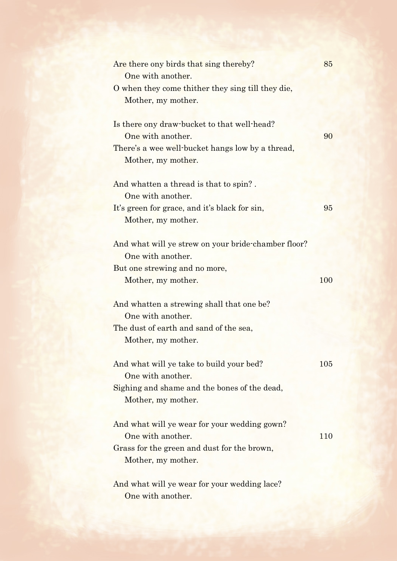| Are there ony birds that sing thereby?              | 85  |
|-----------------------------------------------------|-----|
| One with another.                                   |     |
| O when they come thither they sing till they die,   |     |
| Mother, my mother.                                  |     |
| Is there ony draw-bucket to that well-head?         |     |
| One with another.                                   | 90  |
| There's a wee well-bucket hangs low by a thread,    |     |
| Mother, my mother.                                  |     |
| And whatten a thread is that to spin?.              |     |
| One with another.                                   |     |
| It's green for grace, and it's black for sin,       | 95  |
| Mother, my mother.                                  |     |
| And what will ye strew on your bride-chamber floor? |     |
| One with another.                                   |     |
| But one strewing and no more,                       |     |
| Mother, my mother.                                  | 100 |
| And whatten a strewing shall that one be?           |     |
| One with another.                                   |     |
| The dust of earth and sand of the sea,              |     |
| Mother, my mother.                                  |     |
| And what will ye take to build your bed?            | 105 |
| One with another.                                   |     |
| Sighing and shame and the bones of the dead,        |     |
| Mother, my mother.                                  |     |
| And what will ye wear for your wedding gown?        |     |
| One with another.                                   | 110 |
| Grass for the green and dust for the brown,         |     |
| Mother, my mother.                                  |     |
| And what will ye wear for your wedding lace?        |     |
| One with another.                                   |     |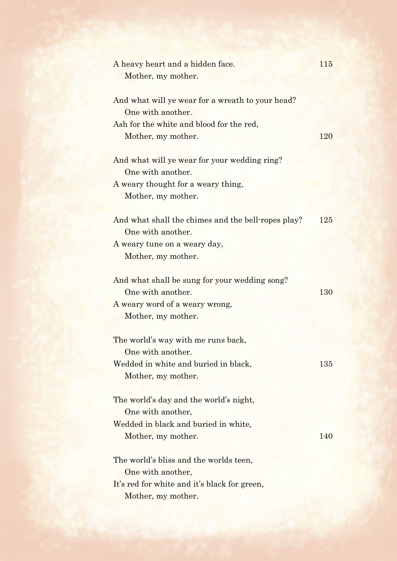| A heavy heart and a hidden face.<br>Mother, my mother.                                                  | 115 |
|---------------------------------------------------------------------------------------------------------|-----|
| And what will ye wear for a wreath to your head?<br>One with another.                                   |     |
| Ash for the white and blood for the red,<br>Mother, my mother.                                          | 120 |
| And what will ye wear for your wedding ring?<br>One with another.<br>A weary thought for a weary thing, |     |
| Mother, my mother.                                                                                      |     |
| And what shall the chimes and the bell-ropes play?<br>One with another.                                 | 125 |
| A weary tune on a weary day,<br>Mother, my mother.                                                      |     |
| And what shall be sung for your wedding song?<br>One with another.                                      | 130 |
| A weary word of a weary wrong,<br>Mother, my mother.                                                    |     |
| The world's way with me runs back,<br>One with another.                                                 |     |
| Wedded in white and buried in black,<br>Mother, my mother.                                              | 135 |
| The world's day and the world's night,<br>One with another,                                             |     |
| Wedded in black and buried in white,<br>Mother, my mother.                                              | 140 |
| The world's bliss and the worlds teen,<br>One with another,                                             |     |
| It's red for white and it's black for green,<br>Mother, my mother.                                      |     |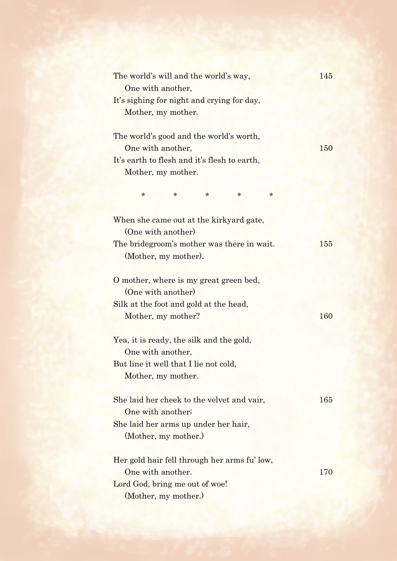| The world's will and the world's way,<br>One with another,        | 145 |
|-------------------------------------------------------------------|-----|
| It's sighing for night and crying for day,                        |     |
| Mother, my mother.                                                |     |
| The world's good and the world's worth,                           |     |
| One with another,<br>It's earth to flesh and it's flesh to earth, | 150 |
| Mother, my mother.                                                |     |
| $\ast$<br>*<br>$\ast$<br>$\ast$<br>$\ast$                         |     |
| When she came out at the kirkyard gate,                           |     |
| (One with another)                                                |     |
| The bridegroom's mother was there in wait.                        | 155 |
| (Mother, my mother).                                              |     |
| O mother, where is my great green bed,                            |     |
| (One with another)                                                |     |
| Silk at the foot and gold at the head,                            |     |
| Mother, my mother?                                                | 160 |
| Yea, it is ready, the silk and the gold,                          |     |
| One with another,                                                 |     |
| But line it well that I lie not cold,                             |     |
| Mother, my mother.                                                |     |
| She laid her cheek to the velvet and vair,                        | 165 |
| One with another;                                                 |     |
| She laid her arms up under her hair,                              |     |
| (Mother, my mother.)                                              |     |
| Her gold hair fell through her arms fu' low,                      |     |
| One with another.                                                 | 170 |
| Lord God, bring me out of woe!                                    |     |
| (Mother, my mother.)                                              |     |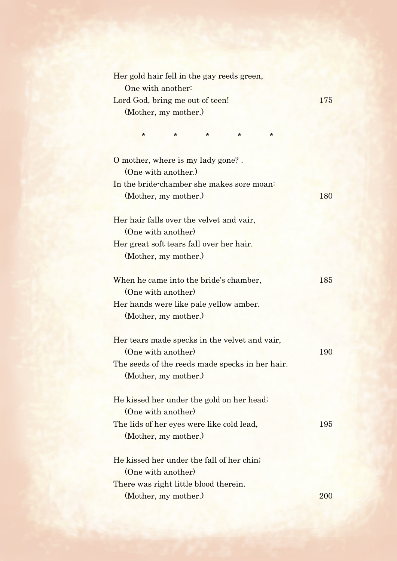| Her gold hair fell in the gay reeds green,      |     |
|-------------------------------------------------|-----|
| One with another:                               |     |
| Lord God, bring me out of teen!                 | 175 |
| (Mother, my mother.)                            |     |
| $\star$<br>*<br>$\star$<br>$^\star$<br>$^\star$ |     |
|                                                 |     |
| O mother, where is my lady gone?.               |     |
| (One with another.)                             |     |
| In the bride-chamber she makes sore moan:       |     |
| (Mother, my mother.)                            | 180 |
| Her hair falls over the velvet and vair,        |     |
| (One with another)                              |     |
| Her great soft tears fall over her hair.        |     |
| (Mother, my mother.)                            |     |
| When he came into the bride's chamber,          | 185 |
| (One with another)                              |     |
| Her hands were like pale yellow amber.          |     |
| (Mother, my mother.)                            |     |
| Her tears made specks in the velvet and vair,   |     |
| (One with another)                              | 190 |
| The seeds of the reeds made specks in her hair. |     |
| (Mother, my mother.)                            |     |
| He kissed her under the gold on her head;       |     |
| (One with another)                              |     |
| The lids of her eyes were like cold lead,       | 195 |
| (Mother, my mother.)                            |     |
| He kissed her under the fall of her chin;       |     |
| (One with another)                              |     |
| There was right little blood therein.           |     |
| (Mother, my mother.)                            | 200 |
|                                                 |     |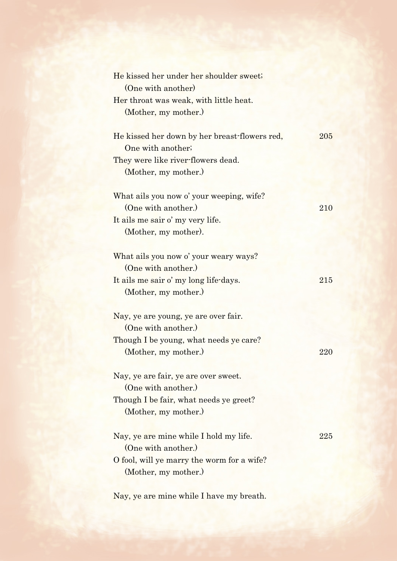| He kissed her under her shoulder sweet;       |     |
|-----------------------------------------------|-----|
| (One with another)                            |     |
| Her throat was weak, with little heat.        |     |
| (Mother, my mother.)                          |     |
|                                               |     |
| He kissed her down by her breast-flowers red, | 205 |
| One with another;                             |     |
| They were like river-flowers dead.            |     |
| (Mother, my mother.)                          |     |
| What ails you now o' your weeping, wife?      |     |
| (One with another.)                           | 210 |
| It ails me sair o' my very life.              |     |
| (Mother, my mother).                          |     |
|                                               |     |
| What ails you now o' your weary ways?         |     |
| (One with another.)                           |     |
| It ails me sair o' my long life-days.         | 215 |
| (Mother, my mother.)                          |     |
|                                               |     |
| Nay, ye are young, ye are over fair.          |     |
| (One with another.)                           |     |
| Though I be young, what needs ye care?        |     |
| (Mother, my mother.)                          | 220 |
| Nay, ye are fair, ye are over sweet.          |     |
| (One with another.)                           |     |
| Though I be fair, what needs ye greet?        |     |
| (Mother, my mother.)                          |     |
|                                               |     |
| Nay, ye are mine while I hold my life.        | 225 |
| (One with another.)                           |     |
| O fool, will ye marry the worm for a wife?    |     |
| (Mother, my mother.)                          |     |
|                                               |     |

Nay, ye are mine while I have my breath.